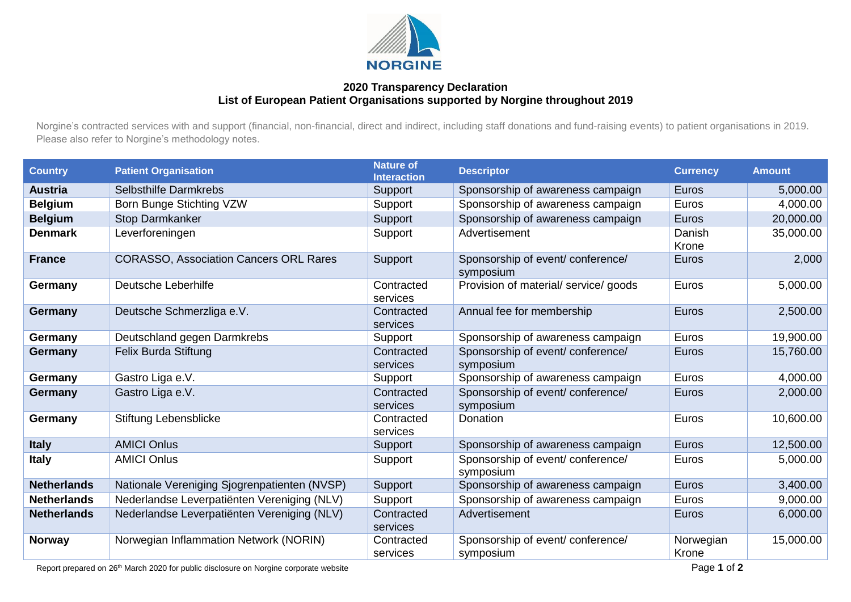

## **2020 Transparency Declaration List of European Patient Organisations supported by Norgine throughout 2019**

Norgine's contracted services with and support (financial, non-financial, direct and indirect, including staff donations and fund-raising events) to patient organisations in 2019. Please also refer to Norgine's methodology notes.

| <b>Country</b>     | <b>Patient Organisation</b>                   | <b>Nature of</b><br><b>Interaction</b> | <b>Descriptor</b>                              | <b>Currency</b>    | <b>Amount</b> |
|--------------------|-----------------------------------------------|----------------------------------------|------------------------------------------------|--------------------|---------------|
| <b>Austria</b>     | Selbsthilfe Darmkrebs                         | Support                                | Sponsorship of awareness campaign              | Euros              | 5,000.00      |
| <b>Belgium</b>     | Born Bunge Stichting VZW                      | Support                                | Sponsorship of awareness campaign              | Euros              | 4,000.00      |
| <b>Belgium</b>     | <b>Stop Darmkanker</b>                        | Support                                | Sponsorship of awareness campaign              | Euros              | 20,000.00     |
| <b>Denmark</b>     | Leverforeningen                               | Support                                | Advertisement                                  | Danish<br>Krone    | 35,000.00     |
| <b>France</b>      | <b>CORASSO, Association Cancers ORL Rares</b> | Support                                | Sponsorship of event/conference/<br>symposium  | Euros              | 2,000         |
| Germany            | Deutsche Leberhilfe                           | Contracted<br>services                 | Provision of material/ service/ goods          | Euros              | 5,000.00      |
| Germany            | Deutsche Schmerzliga e.V.                     | Contracted<br>services                 | Annual fee for membership                      | Euros              | 2,500.00      |
| Germany            | Deutschland gegen Darmkrebs                   | Support                                | Sponsorship of awareness campaign              | Euros              | 19,900.00     |
| <b>Germany</b>     | Felix Burda Stiftung                          | Contracted<br>services                 | Sponsorship of event/ conference/<br>symposium | Euros              | 15,760.00     |
| Germany            | Gastro Liga e.V.                              | Support                                | Sponsorship of awareness campaign              | Euros              | 4,000.00      |
| Germany            | Gastro Liga e.V.                              | Contracted<br>services                 | Sponsorship of event/conference/<br>symposium  | Euros              | 2,000.00      |
| Germany            | Stiftung Lebensblicke                         | Contracted<br>services                 | Donation                                       | Euros              | 10,600.00     |
| <b>Italy</b>       | <b>AMICI Onlus</b>                            | Support                                | Sponsorship of awareness campaign              | Euros              | 12,500.00     |
| <b>Italy</b>       | <b>AMICI Onlus</b>                            | Support                                | Sponsorship of event/conference/<br>symposium  | Euros              | 5,000.00      |
| <b>Netherlands</b> | Nationale Vereniging Sjogrenpatienten (NVSP)  | Support                                | Sponsorship of awareness campaign              | Euros              | 3,400.00      |
| <b>Netherlands</b> | Nederlandse Leverpatiënten Vereniging (NLV)   | Support                                | Sponsorship of awareness campaign              | Euros              | 9,000.00      |
| <b>Netherlands</b> | Nederlandse Leverpatiënten Vereniging (NLV)   | Contracted<br>services                 | Advertisement                                  | Euros              | 6,000.00      |
| <b>Norway</b>      | Norwegian Inflammation Network (NORIN)        | Contracted<br>services                 | Sponsorship of event/conference/<br>symposium  | Norwegian<br>Krone | 15,000.00     |

Report prepared on 26<sup>th</sup> March 2020 for public disclosure on Norgine corporate website **Page 1** of **2 Page 1** of **2**